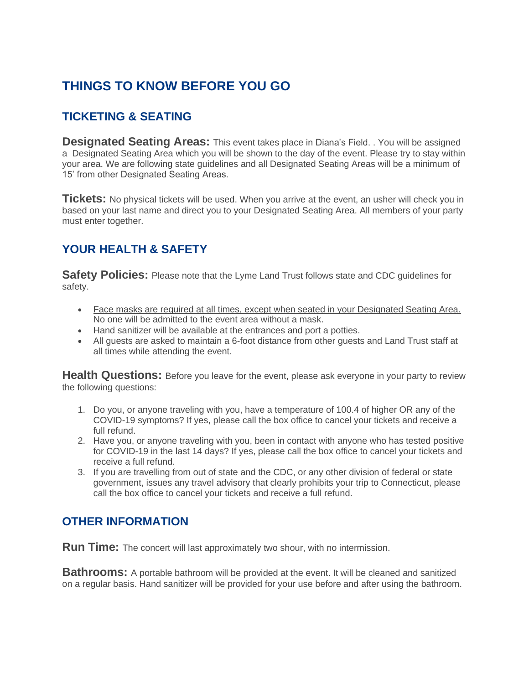## **THINGS TO KNOW BEFORE YOU GO**

## **TICKETING & SEATING**

**Designated Seating Areas:** This event takes place in Diana's Field. . You will be assigned a Designated Seating Area which you will be shown to the day of the event. Please try to stay within your area. We are following state guidelines and all Designated Seating Areas will be a minimum of 15' from other Designated Seating Areas.

**Tickets:** No physical tickets will be used. When you arrive at the event, an usher will check you in based on your last name and direct you to your Designated Seating Area. All members of your party must enter together.

## **YOUR HEALTH & SAFETY**

**Safety Policies:** Please note that the Lyme Land Trust follows state and CDC guidelines for safety.

- Face masks are required at all times, except when seated in your Designated Seating Area. No one will be admitted to the event area without a mask.
- Hand sanitizer will be available at the entrances and port a potties.
- All guests are asked to maintain a 6-foot distance from other guests and Land Trust staff at all times while attending the event.

**Health Questions:** Before you leave for the event, please ask everyone in your party to review the following questions:

- 1. Do you, or anyone traveling with you, have a temperature of 100.4 of higher OR any of the COVID-19 symptoms? If yes, please call the box office to cancel your tickets and receive a full refund.
- 2. Have you, or anyone traveling with you, been in contact with anyone who has tested positive for COVID-19 in the last 14 days? If yes, please call the box office to cancel your tickets and receive a full refund.
- 3. If you are travelling from out of state and the CDC, or any other division of federal or state government, issues any travel advisory that clearly prohibits your trip to Connecticut, please call the box office to cancel your tickets and receive a full refund.

## **OTHER INFORMATION**

**Run Time:** The concert will last approximately two shour, with no intermission.

**Bathrooms:** A portable bathroom will be provided at the event. It will be cleaned and sanitized on a regular basis. Hand sanitizer will be provided for your use before and after using the bathroom.